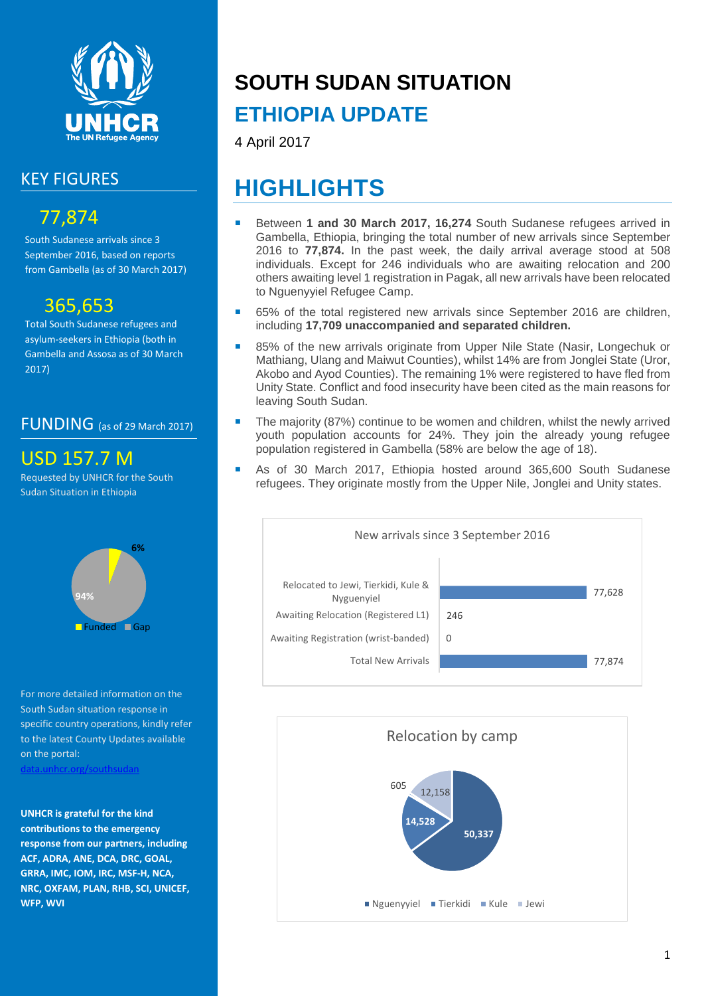

### KEY FIGURES

## 77,874

South Sudanese arrivals since 3 September 2016, based on reports from Gambella (as of 30 March 2017)

## 365,653

Total South Sudanese refugees and asylum-seekers in Ethiopia (both in Gambella and Assosa as of 30 March 2017)

### FUNDING (as of 29 March 2017)

## USD 157.7 M

Requested by UNHCR for the South Sudan Situation in Ethiopia



For more detailed information on the South Sudan situation response in specific country operations, kindly refer to the latest County Updates available on the portal:

[data.unhcr.org/southsudan](http://data.unhcr.org/SouthSudan/regional.php)

**UNHCR is grateful for the kind contributions to the emergency response from our partners, including ACF, ADRA, ANE, DCA, DRC, GOAL, GRRA, IMC, IOM, IRC, MSF-H, NCA, NRC, OXFAM, PLAN, RHB, SCI, UNICEF, WFP, WVI**

# **SOUTH SUDAN SITUATION**

## **ETHIOPIA UPDATE**

4 April 2017

## **HIGHLIGHTS**

- Between **1 and 30 March 2017, 16,274** South Sudanese refugees arrived in Gambella, Ethiopia, bringing the total number of new arrivals since September 2016 to **77,874.** In the past week, the daily arrival average stood at 508 individuals. Except for 246 individuals who are awaiting relocation and 200 others awaiting level 1 registration in Pagak, all new arrivals have been relocated to Nguenyyiel Refugee Camp.
- 65% of the total registered new arrivals since September 2016 are children, including **17,709 unaccompanied and separated children.**
- 85% of the new arrivals originate from Upper Nile State (Nasir, Longechuk or Mathiang, Ulang and Maiwut Counties), whilst 14% are from Jonglei State (Uror, Akobo and Ayod Counties). The remaining 1% were registered to have fled from Unity State. Conflict and food insecurity have been cited as the main reasons for leaving South Sudan.
- The majority (87%) continue to be women and children, whilst the newly arrived youth population accounts for 24%. They join the already young refugee population registered in Gambella (58% are below the age of 18).
- As of 30 March 2017, Ethiopia hosted around 365,600 South Sudanese refugees. They originate mostly from the Upper Nile, Jonglei and Unity states.